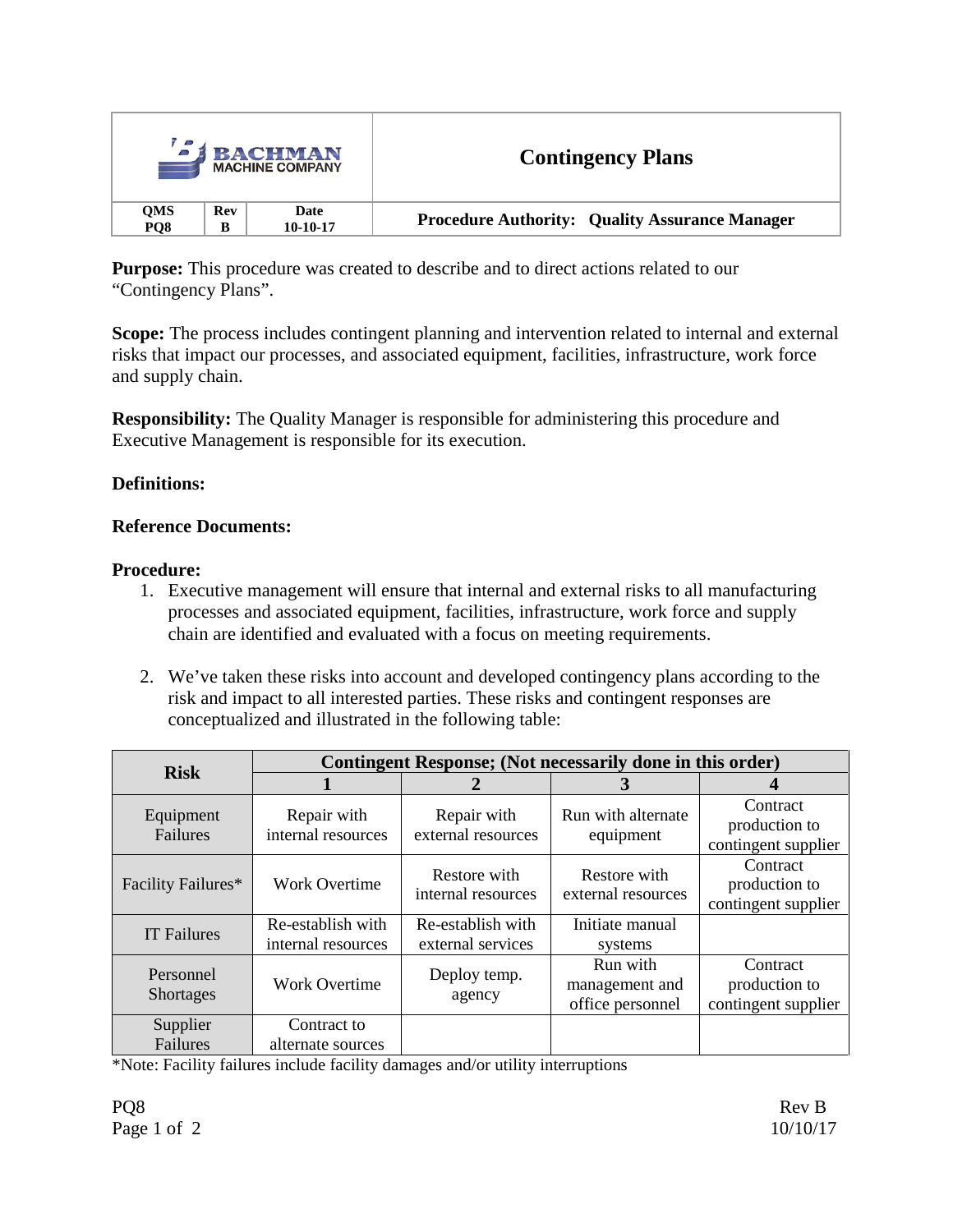| <b><i>I</i></b> BACHMAN<br><b>MACHINE COMPANY</b> |            |            | <b>Contingency Plans</b>                              |  |
|---------------------------------------------------|------------|------------|-------------------------------------------------------|--|
| QMS                                               | <b>Rev</b> | Date       | <b>Procedure Authority: Quality Assurance Manager</b> |  |
| PO <sub>8</sub>                                   | B          | $10-10-17$ |                                                       |  |

**Purpose:** This procedure was created to describe and to direct actions related to our "Contingency Plans".

**Scope:** The process includes contingent planning and intervention related to internal and external risks that impact our processes, and associated equipment, facilities, infrastructure, work force and supply chain.

**Responsibility:** The Quality Manager is responsible for administering this procedure and Executive Management is responsible for its execution.

# **Definitions:**

## **Reference Documents:**

## **Procedure:**

- 1. Executive management will ensure that internal and external risks to all manufacturing processes and associated equipment, facilities, infrastructure, work force and supply chain are identified and evaluated with a focus on meeting requirements.
- 2. We've taken these risks into account and developed contingency plans according to the risk and impact to all interested parties. These risks and contingent responses are conceptualized and illustrated in the following table:

| <b>Risk</b>                   | Contingent Response; (Not necessarily done in this order) |                                        |                                                |                                                  |  |  |  |
|-------------------------------|-----------------------------------------------------------|----------------------------------------|------------------------------------------------|--------------------------------------------------|--|--|--|
|                               |                                                           |                                        | 3                                              |                                                  |  |  |  |
| Equipment<br>Failures         | Repair with<br>internal resources                         | Repair with<br>external resources      | Run with alternate<br>equipment                | Contract<br>production to<br>contingent supplier |  |  |  |
| Facility Failures*            | <b>Work Overtime</b>                                      | Restore with<br>internal resources     | Restore with<br>external resources             | Contract<br>production to<br>contingent supplier |  |  |  |
| <b>IT Failures</b>            | Re-establish with<br>internal resources                   | Re-establish with<br>external services | Initiate manual<br>systems                     |                                                  |  |  |  |
| Personnel<br><b>Shortages</b> | <b>Work Overtime</b>                                      | Deploy temp.<br>agency                 | Run with<br>management and<br>office personnel | Contract<br>production to<br>contingent supplier |  |  |  |
| Supplier<br>Failures          | Contract to<br>alternate sources                          |                                        |                                                |                                                  |  |  |  |

\*Note: Facility failures include facility damages and/or utility interruptions